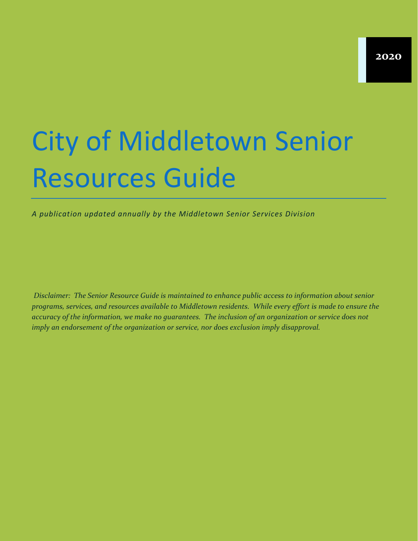# City of Middletown Senior Resources Guide

*A publication updated annually by the Middletown Senior Services Division*

*Disclaimer: The Senior Resource Guide is maintained to enhance public access to information about senior programs, services, and resources available to Middletown residents. While every effort is made to ensure the accuracy of the information, we make no guarantees. The inclusion of an organization or service does not imply an endorsement of the organization or service, nor does exclusion imply disapproval.*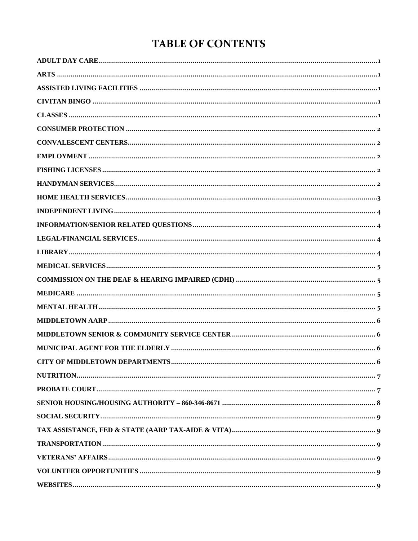## **TABLE OF CONTENTS**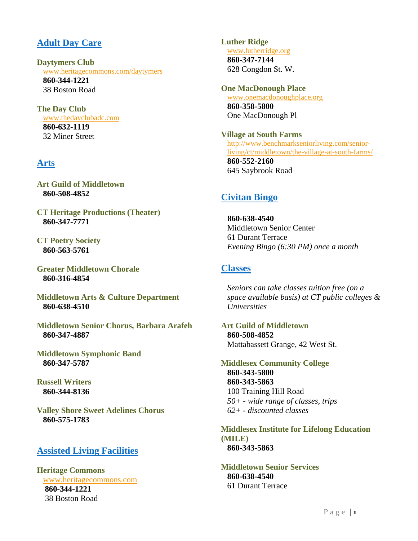## <span id="page-2-0"></span>**Adult Day Care**

**Daytymers Club** [www.heritagecommons.com/daytymers](http://www.heritagecommons.com/daytymers) **860-344-1221** 38 Boston Road

**The Day Club** [www.thedayclubadc.com](http://www.thedayclubadc.com/) **860-632-1119** 32 Miner Street

## <span id="page-2-1"></span>**Arts**

**Art Guild of Middletown 860-508-4852**

**CT Heritage Productions (Theater) 860-347-7771**

**CT Poetry Society 860-563-5761**

**Greater Middletown Chorale 860-316-4854**

**Middletown Arts & Culture Department 860-638-4510**

**Middletown Senior Chorus, Barbara Arafeh 860-347-4887**

**Middletown Symphonic Band 860-347-5787**

**Russell Writers 860-344-8136**

<span id="page-2-2"></span>**Valley Shore Sweet Adelines Chorus 860-575-1783**

## **Assisted Living Facilities**

**Heritage Commons** [www.heritagecommons.com](http://www.heritagecommons.com/) **860-344-1221** 38 Boston Road

**Luther Ridge** [www.lutherridge.org](http://www.lutherridge.org/) **860-347-7144** 628 Congdon St. W.

**One MacDonough Place** [www.onemacdonoughplace.org](http://www.onemacdonoughplace.org/) **860-358-5800** One MacDonough Pl

**Village at South Farms**  [http://www.benchmarkseniorliving.com/senior](http://www.benchmarkseniorliving.com/senior-living/ct/middletown/the-village-at-south-farms/)[living/ct/middletown/the-village-at-south-farms/](http://www.benchmarkseniorliving.com/senior-living/ct/middletown/the-village-at-south-farms/) **860-552-2160** 645 Saybrook Road

## <span id="page-2-3"></span>**Civitan Bingo**

**860-638-4540** Middletown Senior Center 61 Durant Terrace *Evening Bingo (6:30 PM) once a month*

## <span id="page-2-4"></span>**Classes**

*Seniors can take classes tuition free (on a space available basis) at CT public colleges & Universities*

**Art Guild of Middletown 860-508-4852** Mattabassett Grange, 42 West St.

**Middlesex Community College 860-343-5800 860-343-5863** 100 Training Hill Road *50+ - wide range of classes, trips 62+ - discounted classes*

**Middlesex Institute for Lifelong Education (MILE) 860-343-5863**

**Middletown Senior Services 860-638-4540** 61 Durant Terrace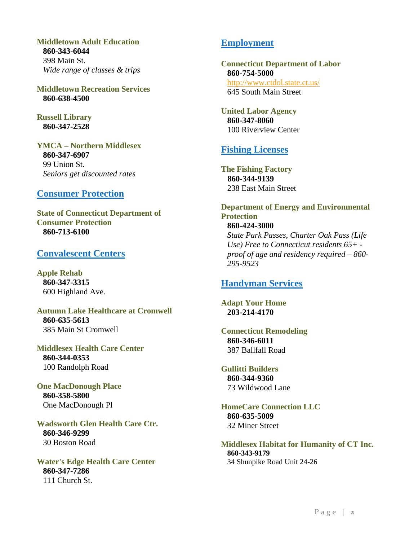**Middletown Adult Education 860-343-6044** 398 Main St. *Wide range of classes & trips*

**Middletown Recreation Services 860-638-4500**

**Russell Library 860-347-2528** 

**YMCA – Northern Middlesex 860-347-6907** 99 Union St. *Seniors get discounted rates*

#### <span id="page-3-0"></span>**Consumer Protection**

**State of Connecticut Department of Consumer Protection 860-713-6100**

#### <span id="page-3-1"></span>**Convalescent Centers**

**Apple Rehab 860-347-3315** 600 Highland Ave.

**Autumn Lake Healthcare at Cromwell 860-635-5613** 385 Main St Cromwell

**Middlesex Health Care Center 860-344-0353** 100 Randolph Road

**One MacDonough Place 860-358-5800** One MacDonough Pl

**Wadsworth Glen Health Care Ctr. 860-346-9299** 30 Boston Road

**Water's Edge Health Care Center 860-347-7286** 111 Church St.

## <span id="page-3-2"></span>**Employment**

**Connecticut Department of Labor 860-754-5000** <http://www.ctdol.state.ct.us/> 645 South Main Street

**United Labor Agency 860-347-8060** 100 Riverview Center

## <span id="page-3-3"></span>**Fishing Licenses**

**The Fishing Factory 860-344-9139** 238 East Main Street

**Department of Energy and Environmental Protection 860-424-3000** *State Park Passes, Charter Oak Pass (Life Use) Free to Connecticut residents 65+ proof of age and residency required – 860- 295-9523*

#### <span id="page-3-4"></span>**Handyman Services**

**Adapt Your Home 203-214-4170**

**Connecticut Remodeling 860-346-6011** 387 Ballfall Road

**Gullitti Builders 860-344-9360** 73 Wildwood Lane

**HomeCare Connection LLC 860-635-5009** 32 Miner Street

**Middlesex Habitat for Humanity of CT Inc. 860-343-9179** 34 Shunpike Road Unit 24-26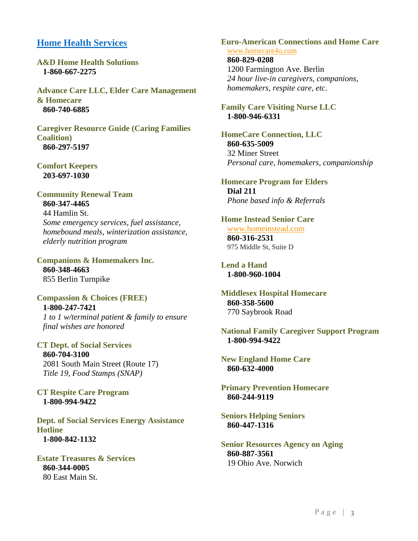## <span id="page-4-0"></span>**Home Health Services**

**A&D Home Health Solutions 1-860-667-2275**

**Advance Care LLC, Elder Care Management & Homecare 860-740-6885**

**Caregiver Resource Guide (Caring Families Coalition) 860-297-5197**

**Comfort Keepers 203-697-1030**

**Community Renewal Team 860-347-4465** 44 Hamlin St. *Some emergency services, fuel assistance, homebound meals, winterization assistance, elderly nutrition program*

**Companions & Homemakers Inc. 860-348-4663** 855 Berlin Turnpike

**Compassion & Choices (FREE) 1-800-247-7421** *1 to 1 w/terminal patient & family to ensure final wishes are honored*

**CT Dept. of Social Services 860-704-3100** 2081 South Main Street (Route 17) *Title 19, Food Stamps (SNAP)*

**CT Respite Care Program 1-800-994-9422**

**Dept. of Social Services Energy Assistance Hotline 1-800-842-1132**

**Estate Treasures & Services 860-344-0005** 80 East Main St.

**Euro-American Connections and Home Care** [www.homecare4u.com](http://www.homecare4u.com/)

**860-829-0208** 1200 Farmington Ave. Berlin *24 hour live-in caregivers, companions, homemakers, respite care, etc.*

**Family Care Visiting Nurse LLC 1-800-946-6331**

**HomeCare Connection, LLC 860-635-5009** 32 Miner Street *Personal care, homemakers, companionship*

**Homecare Program for Elders Dial 211** *Phone based info & Referrals*

**Home Instead Senior Care** [www.homeinstead.com](http://www.homeinstead.com/)

**860-316-2531** 975 Middle St, Suite D

**Lend a Hand 1-800-960-1004**

**Middlesex Hospital Homecare 860-358-5600** 770 Saybrook Road

**National Family Caregiver Support Program 1-800-994-9422**

**New England Home Care 860-632-4000**

**Primary Prevention Homecare 860-244-9119**

**Seniors Helping Seniors 860-447-1316**

**Senior Resources Agency on Aging 860-887-3561** 19 Ohio Ave. Norwich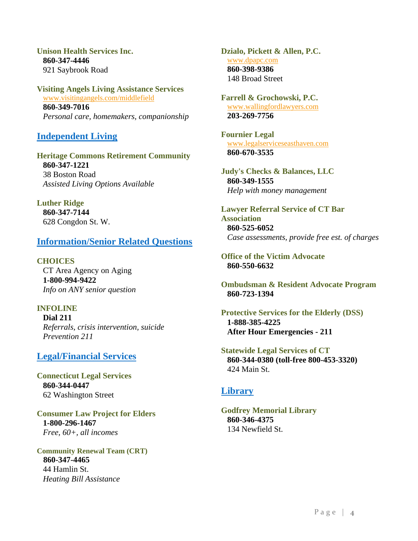**Unison Health Services Inc. 860-347-4446** 921 Saybrook Road

**Visiting Angels Living Assistance Services** [www.visitingangels.com/middlefield](http://www.visitingangels.com/middlefield) **860-349-7016** *Personal care, homemakers, companionship*

## <span id="page-5-0"></span>**Independent Living**

**Heritage Commons Retirement Community 860-347-1221** 38 Boston Road *Assisted Living Options Available*

**Luther Ridge 860-347-7144** 628 Congdon St. W.

## <span id="page-5-1"></span>**Information/Senior Related Questions**

**CHOICES** CT Area Agency on Aging **1-800-994-9422** *Info on ANY senior question*

#### **INFOLINE**

<span id="page-5-2"></span>**Dial 211** *Referrals, crisis intervention, suicide Prevention 211*

## **Legal/Financial Services**

**Connecticut Legal Services 860-344-0447** 62 Washington Street

**Consumer Law Project for Elders 1-800-296-1467** *Free, 60+, all incomes*

**Community Renewal Team (CRT) 860-347-4465** 44 Hamlin St. *Heating Bill Assistance*

**Dzialo, Pickett & Allen, P.C.** [www.dpapc.com](http://www.dpapc.com/) **860-398-9386** 148 Broad Street

**Farrell & Grochowski, P.C.** [www.wallingfordlawyers.com](http://www.wallingfordlawyers.com/) **203-269-7756**

**Fournier Legal** [www.legalserviceseasthaven.com](http://www.legalserviceseasthaven.com/) **860-670-3535**

**Judy's Checks & Balances, LLC 860-349-1555** *Help with money management*

**Lawyer Referral Service of CT Bar Association 860-525-6052** *Case assessments, provide free est. of charges*

**Office of the Victim Advocate 860-550-6632**

**Ombudsman & Resident Advocate Program 860-723-1394**

**Protective Services for the Elderly (DSS) 1-888-385-4225 After Hour Emergencies - 211**

**Statewide Legal Services of CT 860-344-0380 (toll-free 800-453-3320)** 424 Main St.

## <span id="page-5-3"></span>**Library**

**Godfrey Memorial Library 860-346-4375** 134 Newfield St.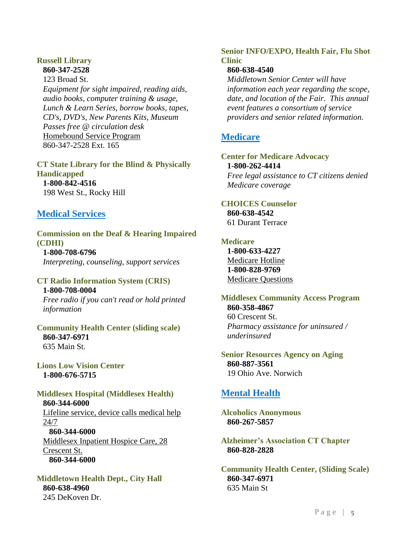#### **Russell Library 860-347-2528**

123 Broad St. *Equipment for sight impaired, reading aids, audio books, computer training & usage, Lunch & Learn Series, borrow books, tapes, CD's, DVD's, New Parents Kits, Museum Passes free @ circulation desk* Homebound Service Program 860-347-2528 Ext. 165

## **CT State Library for the Blind & Physically Handicapped**

**1-800-842-4516** 198 West St., Rocky Hill

## <span id="page-6-0"></span>**Medical Services**

<span id="page-6-1"></span>**Commission on the Deaf & Hearing Impaired (CDHI) 1-800-708-6796** *Interpreting, counseling, support services*

#### **CT Radio Information System (CRIS) 1-800-708-0004**

*Free radio if you can't read or hold printed information*

**Community Health Center (sliding scale) 860-347-6971** 635 Main St.

**Lions Low Vision Center 1-800-676-5715**

#### **Middlesex Hospital (Middlesex Health) 860-344-6000** Lifeline service, device calls medical help 24/7 **860-344-6000** Middlesex Inpatient Hospice Care, 28 Crescent St. **860-344-6000**

**Middletown Health Dept., City Hall 860-638-4960** 245 DeKoven Dr.

#### **Senior INFO/EXPO, Health Fair, Flu Shot Clinic**

## **860-638-4540**

*Middletown Senior Center will have information each year regarding the scope, date, and location of the Fair. This annual event features a consortium of service providers and senior related information.*

## <span id="page-6-2"></span>**Medicare**

## **Center for Medicare Advocacy 1-800-262-4414**

*Free legal assistance to CT citizens denied Medicare coverage*

#### **CHOICES Counselor 860-638-4542**

61 Durant Terrace

## **Medicare**

**1-800-633-4227** Medicare Hotline **1-800-828-9769** Medicare Questions

## **Middlesex Community Access Program 860-358-4867** 60 Crescent St.

*Pharmacy assistance for uninsured / underinsured*

#### **Senior Resources Agency on Aging 860-887-3561** 19 Ohio Ave. Norwich

## <span id="page-6-3"></span>**Mental Health**

**Alcoholics Anonymous 860-267-5857**

## **Alzheimer's Association CT Chapter 860-828-2828**

**Community Health Center, (Sliding Scale) 860-347-6971** 635 Main St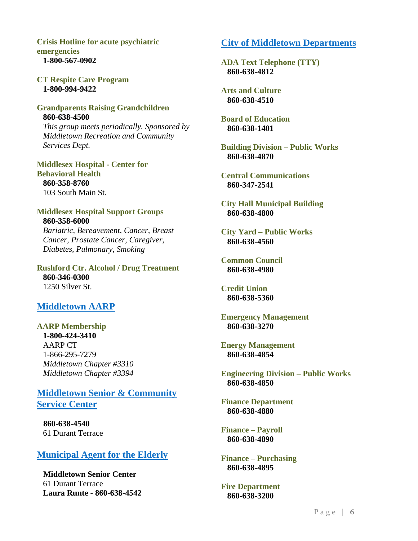**Crisis Hotline for acute psychiatric emergencies 1-800-567-0902**

**CT Respite Care Program 1-800-994-9422**

#### **Grandparents Raising Grandchildren 860-638-4500**

*This group meets periodically. Sponsored by Middletown Recreation and Community Services Dept.*

**Middlesex Hospital - Center for Behavioral Health 860-358-8760** 103 South Main St.

#### **Middlesex Hospital Support Groups 860-358-6000**

*Bariatric, Bereavement, Cancer, Breast Cancer, Prostate Cancer, Caregiver, Diabetes, Pulmonary, Smoking*

**Rushford Ctr. Alcohol / Drug Treatment 860-346-0300** 1250 Silver St.

## <span id="page-7-0"></span>**Middletown AARP**

**AARP Membership 1-800-424-3410** AARP CT 1-866-295-7279 *Middletown Chapter #3310 Middletown Chapter #3394*

<span id="page-7-1"></span>**Middletown Senior & Community Service Center**

**860-638-4540** 61 Durant Terrace

## <span id="page-7-2"></span>**Municipal Agent for the Elderly**

**Middletown Senior Center** 61 Durant Terrace **Laura Runte - 860-638-4542**

## <span id="page-7-3"></span>**City of Middletown Departments**

**ADA Text Telephone (TTY) 860-638-4812**

**Arts and Culture 860-638-4510**

**Board of Education 860-638-1401**

**Building Division – Public Works 860-638-4870**

**Central Communications 860-347-2541**

**City Hall Municipal Building 860-638-4800**

**City Yard – Public Works 860-638-4560**

**Common Council 860-638-4980**

**Credit Union 860-638-5360**

**Emergency Management 860-638-3270**

**Energy Management 860-638-4854**

**Engineering Division – Public Works 860-638-4850**

**Finance Department 860-638-4880**

**Finance – Payroll 860-638-4890**

**Finance – Purchasing 860-638-4895**

**Fire Department 860-638-3200**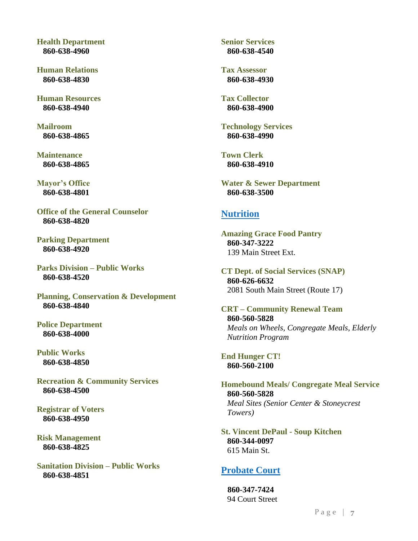**Health Department 860-638-4960**

**Human Relations 860-638-4830**

**Human Resources 860-638-4940**

**Mailroom 860-638-4865**

**Maintenance 860-638-4865**

**Mayor's Office 860-638-4801**

**Office of the General Counselor 860-638-4820**

**Parking Department 860-638-4920**

**Parks Division – Public Works 860-638-4520**

**Planning, Conservation & Development 860-638-4840**

**Police Department 860-638-4000**

**Public Works 860-638-4850**

**Recreation & Community Services 860-638-4500**

**Registrar of Voters 860-638-4950**

**Risk Management 860-638-4825**

**Sanitation Division – Public Works 860-638-4851**

**Senior Services 860-638-4540**

**Tax Assessor 860-638-4930**

**Tax Collector 860-638-4900**

**Technology Services 860-638-4990**

**Town Clerk 860-638-4910**

**Water & Sewer Department 860-638-3500**

#### <span id="page-8-0"></span>**Nutrition**

**Amazing Grace Food Pantry 860-347-3222** 139 Main Street Ext.

**CT Dept. of Social Services (SNAP) 860-626-6632** 2081 South Main Street (Route 17)

**CRT – Community Renewal Team 860-560-5828** *Meals on Wheels, Congregate Meals, Elderly Nutrition Program*

**End Hunger CT! 860-560-2100**

**Homebound Meals/ Congregate Meal Service 860-560-5828** *Meal Sites (Senior Center & Stoneycrest Towers)*

**St. Vincent DePaul - Soup Kitchen 860-344-0097** 615 Main St.

## <span id="page-8-1"></span>**Probate Court**

**860-347-7424** 94 Court Street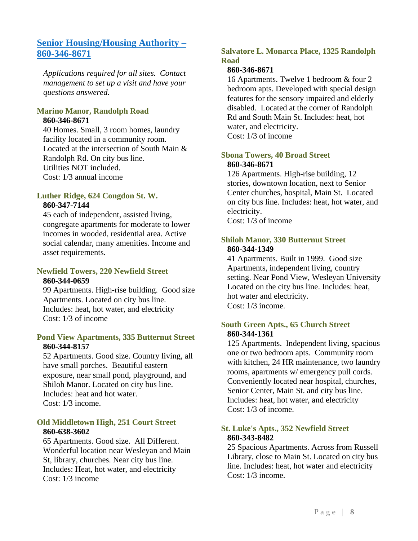## <span id="page-9-0"></span>**Senior Housing/Housing Authority – 860-346-8671**

*Applications required for all sites. Contact management to set up a visit and have your questions answered.*

#### **Marino Manor, Randolph Road 860-346-8671**

40 Homes. Small, 3 room homes, laundry facility located in a community room. Located at the intersection of South Main & Randolph Rd. On city bus line. Utilities NOT included. Cost: 1/3 annual income

#### **Luther Ridge, 624 Congdon St. W. 860-347-7144**

45 each of independent, assisted living, congregate apartments for moderate to lower incomes in wooded, residential area. Active social calendar, many amenities. Income and asset requirements.

#### **Newfield Towers, 220 Newfield Street 860-344-0659**

99 Apartments. High-rise building. Good size Apartments. Located on city bus line. Includes: heat, hot water, and electricity Cost: 1/3 of income

#### **Pond View Apartments, 335 Butternut Street 860-344-8157**

52 Apartments. Good size. Country living, all have small porches. Beautiful eastern exposure, near small pond, playground, and Shiloh Manor. Located on city bus line. Includes: heat and hot water. Cost: 1/3 income.

#### **Old Middletown High, 251 Court Street 860-638-3602**

65 Apartments. Good size. All Different. Wonderful location near Wesleyan and Main St, library, churches. Near city bus line. Includes: Heat, hot water, and electricity Cost: 1/3 income

## **Salvatore L. Monarca Place, 1325 Randolph Road**

#### **860-346-8671**

16 Apartments. Twelve 1 bedroom & four 2 bedroom apts. Developed with special design features for the sensory impaired and elderly disabled. Located at the corner of Randolph Rd and South Main St. Includes: heat, hot water, and electricity. Cost: 1/3 of income

#### **Sbona Towers, 40 Broad Street 860-346-8671**

126 Apartments. High-rise building, 12 stories, downtown location, next to Senior Center churches, hospital, Main St. Located on city bus line. Includes: heat, hot water, and electricity. Cost: 1/3 of income

#### **Shiloh Manor, 330 Butternut Street 860-344-1349**

41 Apartments. Built in 1999. Good size Apartments, independent living, country setting. Near Pond View, Wesleyan University Located on the city bus line. Includes: heat, hot water and electricity. Cost: 1/3 income.

#### **South Green Apts., 65 Church Street 860-344-1361**

125 Apartments. Independent living, spacious one or two bedroom apts. Community room with kitchen, 24 HR maintenance, two laundry rooms, apartments w/ emergency pull cords. Conveniently located near hospital, churches, Senior Center, Main St. and city bus line. Includes: heat, hot water, and electricity Cost: 1/3 of income.

## **St. Luke's Apts., 352 Newfield Street 860-343-8482**

25 Spacious Apartments. Across from Russell Library, close to Main St. Located on city bus line. Includes: heat, hot water and electricity  $Cost: 1/3$  income.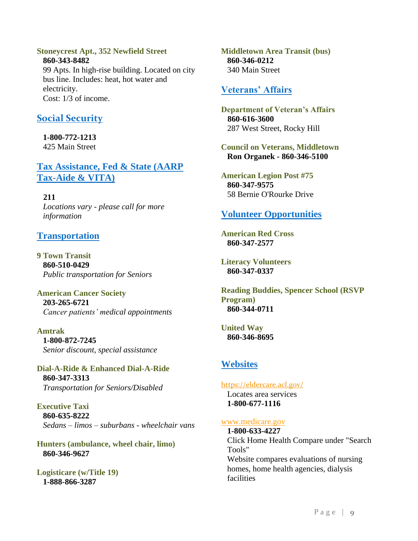#### **Stoneycrest Apt., 352 Newfield Street**

**860-343-8482** 99 Apts. In high-rise building. Located on city bus line. Includes: heat, hot water and electricity. Cost: 1/3 of income.

## <span id="page-10-0"></span>**Social Security**

**1-800-772-1213** 425 Main Street

<span id="page-10-1"></span>**Tax Assistance, Fed & State (AARP Tax-Aide & VITA)**

**211** *Locations vary - please call for more information*

## <span id="page-10-2"></span>**Transportation**

**9 Town Transit 860-510-0429** *Public transportation for Seniors*

**American Cancer Society 203-265-6721** *Cancer patients' medical appointments*

**Amtrak 1-800-872-7245** *Senior discount, special assistance*

**Dial-A-Ride & Enhanced Dial-A-Ride 860-347-3313** *Transportation for Seniors/Disabled*

**Executive Taxi 860-635-8222** *Sedans – limos – suburbans - wheelchair vans*

**Hunters (ambulance, wheel chair, limo) 860-346-9627**

**Logisticare (w/Title 19) 1-888-866-3287**

**Middletown Area Transit (bus) 860-346-0212** 340 Main Street

## <span id="page-10-3"></span>**Veterans' Affairs**

**Department of Veteran's Affairs 860-616-3600** 287 West Street, Rocky Hill

**Council on Veterans, Middletown Ron Organek - 860-346-5100**

<span id="page-10-4"></span>**American Legion Post #75 860-347-9575** 58 Bernie O'Rourke Drive

## **Volunteer Opportunities**

**American Red Cross 860-347-2577**

**Literacy Volunteers 860-347-0337**

**Reading Buddies, Spencer School (RSVP Program) 860-344-0711**

**United Way 860-346-8695**

## <span id="page-10-5"></span>**Websites**

#### <https://eldercare.acl.gov/>

Locates area services **1-800-677-1116**

#### [www.medicare.gov](http://www.medicare.gov/)

**1-800-633-4227** Click Home Health Compare under "Search Tools" Website compares evaluations of nursing homes, home health agencies, dialysis facilities